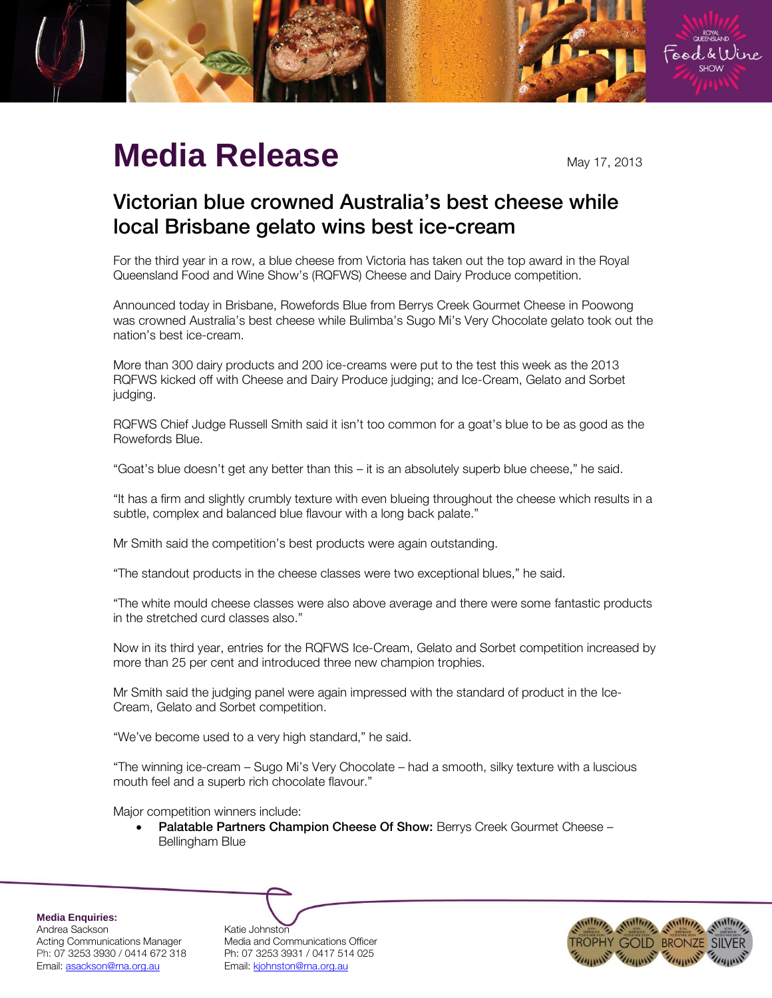

## **Media Release** May 17, 2013

## Victorian blue crowned Australia's best cheese while local Brisbane gelato wins best ice-cream local Brisbane gelato wins best ice-cream

For the third year in a row, a blue cheese from Victoria has taken out the top award in the Royal Queensland Food and Wine Show's (RQFWS) Cheese and Dairy Produce competition.

Announced today in Brisbane, Rowefords Blue from Berrys Creek Gourmet Cheese in Poowong was crowned Australia's best cheese while Bulimba's Sugo Mi's Very Chocolate gelato took out the nation's best ice-cream.

More than 300 dairy products and 200 ice-creams were put to the test this week as the 2013 RQFWS kicked off with Cheese and Dairy Produce judging; and Ice-Cream, Gelato and Sorbet judging.

RQFWS Chief Judge Russell Smith said it isn't too common for a goat's blue to be as good as the Rowefords Blue.

"Goat's blue doesn't get any better than this – it is an absolutely superb blue cheese," he said.

"It has a firm and slightly crumbly texture with even blueing throughout the cheese which results in a subtle, complex and balanced blue flavour with a long back palate."

Mr Smith said the competition's best products were again outstanding.

"The standout products in the cheese classes were two exceptional blues," he said.

"The white mould cheese classes were also above average and there were some fantastic products in the stretched curd classes also."

Now in its third year, entries for the RQFWS Ice-Cream, Gelato and Sorbet competition increased by more than 25 per cent and introduced three new champion trophies.

Mr Smith said the judging panel were again impressed with the standard of product in the Ice-Cream, Gelato and Sorbet competition.

"We've become used to a very high standard," he said.

"The winning ice-cream – Sugo Mi's Very Chocolate – had a smooth, silky texture with a luscious mouth feel and a superb rich chocolate flavour."

Major competition winners include:

 Palatable Partners Champion Cheese Of Show: Berrys Creek Gourmet Cheese – Bellingham Blue

**Media Enquiries:** Andrea Sackson Katie Johnston Email: asackson@rna.org.au Fmail: kjohnston@rna.org.au

Acting Communications Manager Media and Communications Officer Ph: 07 3253 3930 / 0414 672 318 Ph: 07 3253 3931 / 0417 514 025